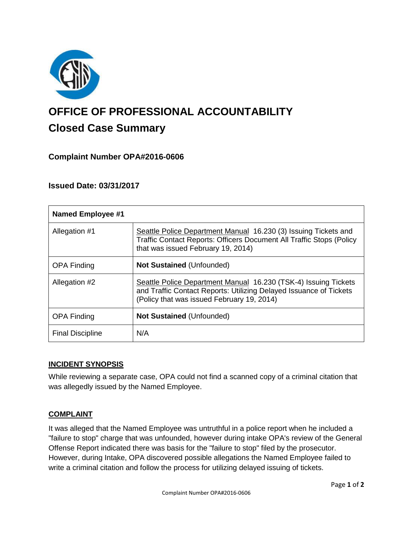

# **OFFICE OF PROFESSIONAL ACCOUNTABILITY Closed Case Summary**

## **Complaint Number OPA#2016-0606**

## **Issued Date: 03/31/2017**

| <b>Named Employee #1</b> |                                                                                                                                                                                      |
|--------------------------|--------------------------------------------------------------------------------------------------------------------------------------------------------------------------------------|
| Allegation #1            | Seattle Police Department Manual 16.230 (3) Issuing Tickets and<br><b>Traffic Contact Reports: Officers Document All Traffic Stops (Policy</b><br>that was issued February 19, 2014) |
| <b>OPA Finding</b>       | Not Sustained (Unfounded)                                                                                                                                                            |
| Allegation #2            | Seattle Police Department Manual 16.230 (TSK-4) Issuing Tickets<br>and Traffic Contact Reports: Utilizing Delayed Issuance of Tickets<br>(Policy that was issued February 19, 2014)  |
| <b>OPA Finding</b>       | <b>Not Sustained (Unfounded)</b>                                                                                                                                                     |
| <b>Final Discipline</b>  | N/A                                                                                                                                                                                  |

#### **INCIDENT SYNOPSIS**

While reviewing a separate case, OPA could not find a scanned copy of a criminal citation that was allegedly issued by the Named Employee.

#### **COMPLAINT**

It was alleged that the Named Employee was untruthful in a police report when he included a "failure to stop" charge that was unfounded, however during intake OPA's review of the General Offense Report indicated there was basis for the "failure to stop" filed by the prosecutor. However, during Intake, OPA discovered possible allegations the Named Employee failed to write a criminal citation and follow the process for utilizing delayed issuing of tickets.